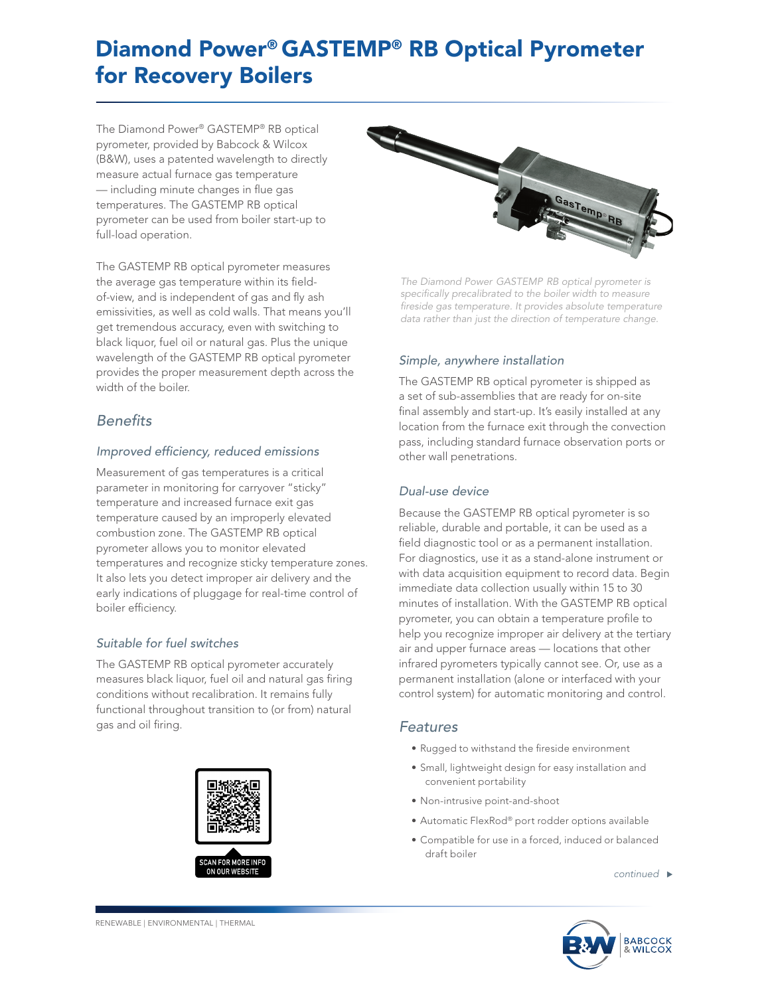# Diamond Power® GASTEMP® RB Optical Pyrometer for Recovery Boilers

The Diamond Power® GASTEMP® RB optical pyrometer, provided by Babcock & Wilcox (B&W), uses a patented wavelength to directly measure actual furnace gas temperature — including minute changes in flue gas temperatures. The GASTEMP RB optical pyrometer can be used from boiler start-up to full-load operation.

The GASTEMP RB optical pyrometer measures the average gas temperature within its fieldof-view, and is independent of gas and fly ash emissivities, as well as cold walls. That means you'll get tremendous accuracy, even with switching to black liquor, fuel oil or natural gas. Plus the unique wavelength of the GASTEMP RB optical pyrometer provides the proper measurement depth across the width of the boiler.

## *Benefits*

#### *Improved efficiency, reduced emissions*

Measurement of gas temperatures is a critical parameter in monitoring for carryover "sticky" temperature and increased furnace exit gas temperature caused by an improperly elevated combustion zone. The GASTEMP RB optical pyrometer allows you to monitor elevated temperatures and recognize sticky temperature zones. It also lets you detect improper air delivery and the early indications of pluggage for real-time control of boiler efficiency.

#### *Suitable for fuel switches*

The GASTEMP RB optical pyrometer accurately measures black liquor, fuel oil and natural gas firing conditions without recalibration. It remains fully functional throughout transition to (or from) natural gas and oil firing.





*The Diamond Power GASTEMP RB optical pyrometer is specifically precalibrated to the boiler width to measure fireside gas temperature. It provides absolute temperature data rather than just the direction of temperature change.*

## *Simple, anywhere installation*

The GASTEMP RB optical pyrometer is shipped as a set of sub-assemblies that are ready for on-site final assembly and start-up. It's easily installed at any location from the furnace exit through the convection pass, including standard furnace observation ports or other wall penetrations.

### *Dual-use device*

Because the GASTEMP RB optical pyrometer is so reliable, durable and portable, it can be used as a field diagnostic tool or as a permanent installation. For diagnostics, use it as a stand-alone instrument or with data acquisition equipment to record data. Begin immediate data collection usually within 15 to 30 minutes of installation. With the GASTEMP RB optical pyrometer, you can obtain a temperature profile to help you recognize improper air delivery at the tertiary air and upper furnace areas — locations that other infrared pyrometers typically cannot see. Or, use as a permanent installation (alone or interfaced with your control system) for automatic monitoring and control.

## *Features*

- Rugged to withstand the fireside environment
- Small, lightweight design for easy installation and convenient portability
- Non-intrusive point-and-shoot
- Automatic FlexRod® port rodder options available
- Compatible for use in a forced, induced or balanced draft boiler

*continued*